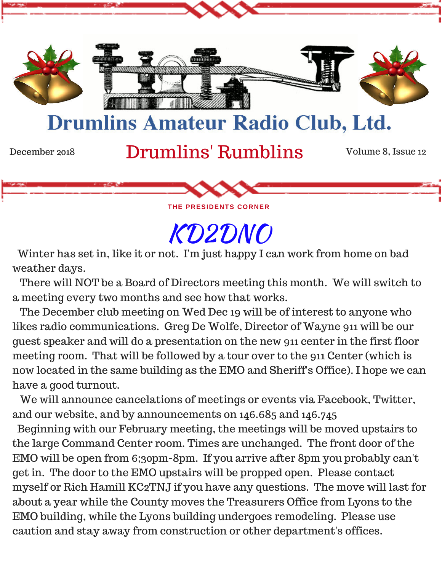

**THE PRESIDENTS CORNER** 

KD2DNO

 Winter has set in, like it or not. I'm just happy I can work from home on bad weather days.

 There will NOT be a Board of Directors meeting this month. We will switch to a meeting every two months and see how that works.

 The December club meeting on Wed Dec 19 will be of interest to anyone who likes radio communications. Greg De Wolfe, Director of Wayne 911 will be our guest speaker and will do a presentation on the new 911 center in the first floor meeting room. That will be followed by a tour over to the 911 Center (which is now located in the same building as the EMO and Sheriff's Office). I hope we can have a good turnout.

 We will announce cancelations of meetings or events via Facebook, Twitter, and our website, and by announcements on 146.685 and 146.745

 Beginning with our February meeting, the meetings will be moved upstairs to the large Command Center room. Times are unchanged. The front door of the EMO will be open from 6;30pm-8pm. If you arrive after 8pm you probably can't get in. The door to the EMO upstairs will be propped open. Please contact myself or Rich Hamill KC2TNJ if you have any questions. The move will last for about a year while the County moves the Treasurers Office from Lyons to the EMO building, while the Lyons building undergoes remodeling. Please use caution and stay away from construction or other department's offices.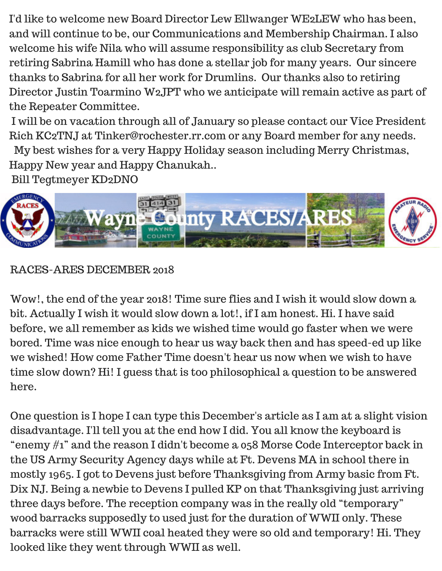I'd like to welcome new Board Director Lew Ellwanger WE2LEW who has been, and will continue to be, our Communications and Membership Chairman. I also welcome his wife Nila who will assume responsibility as club Secretary from retiring Sabrina Hamill who has done a stellar job for many years. Our sincere thanks to Sabrina for all her work for Drumlins. Our thanks also to retiring Director Justin Toarmino W2JPT who we anticipate will remain active as part of the Repeater Committee.

 I will be on vacation through all of January so please contact our Vice President Rich KC2TNJ at Tinker@rochester.rr.com or any Board member for any needs.

My best wishes for a very Happy Holiday season including Merry Christmas,

Happy New year and Happy Chanukah..

Bill Tegtmeyer KD2DNO



## RACES-ARES DECEMBER 2018

Wow!, the end of the year 2018! Time sure flies and I wish it would slow down a bit. Actually I wish it would slow down a lot!, if I am honest. Hi. I have said before, we all remember as kids we wished time would go faster when we were bored. Time was nice enough to hear us way back then and has speed-ed up like we wished! How come Father Time doesn't hear us now when we wish to have time slow down? Hi! I guess that is too philosophical a question to be answered here.

One question is I hope I can type this December's article as I am at a slight vision disadvantage. I'll tell you at the end how I did. You all know the keyboard is "enemy #1" and the reason I didn't become a 058 Morse Code Interceptor back in the US Army Security Agency days while at Ft. Devens MA in school there in mostly 1965. I got to Devens just before Thanksgiving from Army basic from Ft. Dix NJ. Being a newbie to Devens I pulled KP on that Thanksgiving just arriving three days before. The reception company was in the really old "temporary" wood barracks supposedly to used just for the duration of WWII only. These barracks were still WWII coal heated they were so old and temporary! Hi. They looked like they went through WWII as well.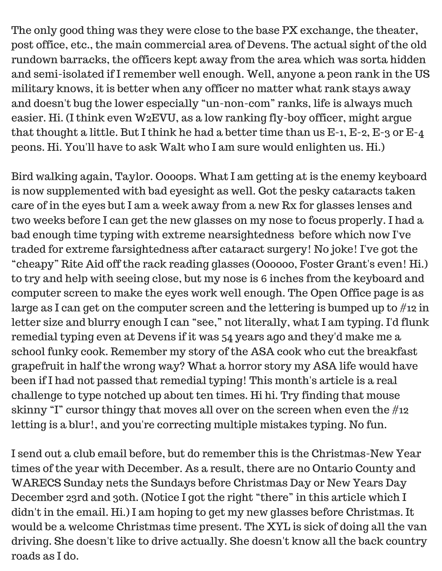The only good thing was they were close to the base PX exchange, the theater, post office, etc., the main commercial area of Devens. The actual sight of the old rundown barracks, the officers kept away from the area which was sorta hidden and semi-isolated if I remember well enough. Well, anyone a peon rank in the US military knows, it is better when any officer no matter what rank stays away and doesn't bug the lower especially "un-non-com" ranks, life is always much easier. Hi. (I think even W2EVU, as a low ranking fly-boy officer, might argue that thought a little. But I think he had a better time than us E-1, E-2, E-3 or E-4 peons. Hi. You'll have to ask Walt who I am sure would enlighten us. Hi.)

Bird walking again, Taylor. Oooops. What I am getting at is the enemy keyboard is now supplemented with bad eyesight as well. Got the pesky cataracts taken care of in the eyes but I am a week away from a new Rx for glasses lenses and two weeks before I can get the new glasses on my nose to focus properly. I had a bad enough time typing with extreme nearsightedness before which now I've traded for extreme farsightedness after cataract surgery! No joke! I've got the "cheapy" Rite Aid off the rack reading glasses (Oooooo, Foster Grant's even! Hi.) to try and help with seeing close, but my nose is 6 inches from the keyboard and computer screen to make the eyes work well enough. The Open Office page is as large as I can get on the computer screen and the lettering is bumped up to #12 in letter size and blurry enough I can "see," not literally, what I am typing. I'd flunk remedial typing even at Devens if it was 54 years ago and they'd make me a school funky cook. Remember my story of the ASA cook who cut the breakfast grapefruit in half the wrong way? What a horror story my ASA life would have been if I had not passed that remedial typing! This month's article is a real challenge to type notched up about ten times. Hi hi. Try finding that mouse skinny "I" cursor thingy that moves all over on the screen when even the #12 letting is a blur!, and you're correcting multiple mistakes typing. No fun.

I send out a club email before, but do remember this is the Christmas-New Year times of the year with December. As a result, there are no Ontario County and WARECS Sunday nets the Sundays before Christmas Day or New Years Day December 23rd and 30th. (Notice I got the right "there" in this article which I didn't in the email. Hi.) I am hoping to get my new glasses before Christmas. It would be a welcome Christmas time present. The XYL is sick of doing all the van driving. She doesn't like to drive actually. She doesn't know all the back country roads as I do.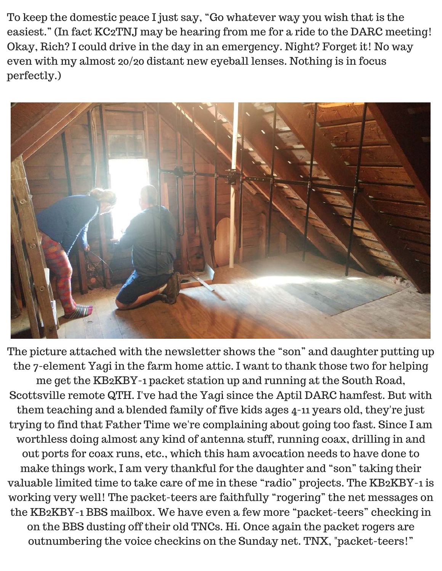To keep the domestic peace I just say, "Go whatever way you wish that is the easiest." (In fact KC2TNJ may be hearing from me for a ride to the DARC meeting! Okay, Rich? I could drive in the day in an emergency. Night? Forget it! No way even with my almost 20/20 distant new eyeball lenses. Nothing is in focus perfectly.)



The picture attached with the newsletter shows the "son" and daughter putting up the 7-element Yagi in the farm home attic. I want to thank those two for helping me get the KB2KBY-1 packet station up and running at the South Road, Scottsville remote QTH. I've had the Yagi since the Aptil DARC hamfest. But with them teaching and a blended family of five kids ages 4-11 years old, they're just trying to find that Father Time we're complaining about going too fast. Since I am worthless doing almost any kind of antenna stuff, running coax, drilling in and out ports for coax runs, etc., which this ham avocation needs to have done to make things work, I am very thankful for the daughter and "son" taking their valuable limited time to take care of me in these "radio" projects. The KB2KBY-1 is working very well! The packet-teers are faithfully "rogering" the net messages on the KB2KBY-1 BBS mailbox. We have even a few more "packet-teers" checking in on the BBS dusting off their old TNCs. Hi. Once again the packet rogers are outnumbering the voice checkins on the Sunday net. TNX, "packet-teers!"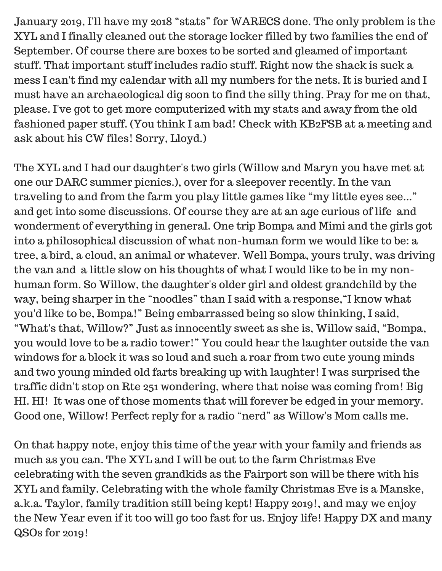January 2019, I'll have my 2018 "stats" for WARECS done. The only problem is the XYL and I finally cleaned out the storage locker filled by two families the end of September. Of course there are boxes to be sorted and gleamed of important stuff. That important stuff includes radio stuff. Right now the shack is suck a mess I can't find my calendar with all my numbers for the nets. It is buried and I must have an archaeological dig soon to find the silly thing. Pray for me on that, please. I've got to get more computerized with my stats and away from the old fashioned paper stuff. (You think I am bad! Check with KB2FSB at a meeting and ask about his CW files! Sorry, Lloyd.)

The XYL and I had our daughter's two girls (Willow and Maryn you have met at one our DARC summer picnics.), over for a sleepover recently. In the van traveling to and from the farm you play little games like "my little eyes see..." and get into some discussions. Of course they are at an age curious of life and wonderment of everything in general. One trip Bompa and Mimi and the girls got into a philosophical discussion of what non-human form we would like to be: a tree, a bird, a cloud, an animal or whatever. Well Bompa, yours truly, was driving the van and a little slow on his thoughts of what I would like to be in my nonhuman form. So Willow, the daughter's older girl and oldest grandchild by the way, being sharper in the "noodles" than I said with a response,"I know what you'd like to be, Bompa!" Being embarrassed being so slow thinking, I said, "What's that, Willow?" Just as innocently sweet as she is, Willow said, "Bompa, you would love to be a radio tower!" You could hear the laughter outside the van windows for a block it was so loud and such a roar from two cute young minds and two young minded old farts breaking up with laughter! I was surprised the traffic didn't stop on Rte 251 wondering, where that noise was coming from! Big HI. HI! It was one of those moments that will forever be edged in your memory. Good one, Willow! Perfect reply for a radio "nerd" as Willow's Mom calls me.

On that happy note, enjoy this time of the year with your family and friends as much as you can. The XYL and I will be out to the farm Christmas Eve celebrating with the seven grandkids as the Fairport son will be there with his XYL and family. Celebrating with the whole family Christmas Eve is a Manske, a.k.a. Taylor, family tradition still being kept! Happy 2019!, and may we enjoy the New Year even if it too will go too fast for us. Enjoy life! Happy DX and many QSOs for 2019!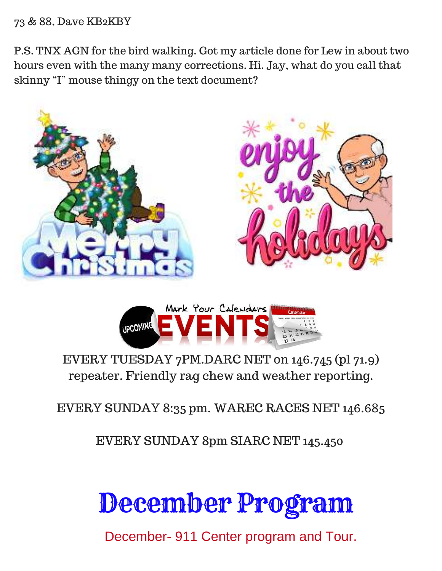### 73 & 88, Dave KB2KBY

P.S. TNX AGN for the bird walking. Got my article done for Lew in about two hours even with the many many corrections. Hi. Jay, what do you call that skinny "I" mouse thingy on the text document?





# EVERY TUESDAY 7PM.DARC NET on 146.745 (pl 71.9) repeater. Friendly rag chew and weather reporting.

EVERY SUNDAY 8:35 pm. WAREC RACES NET 146.685

EVERY SUNDAY 8pm SIARC NET 145.450

# December Program

December- 911 Center program and Tour.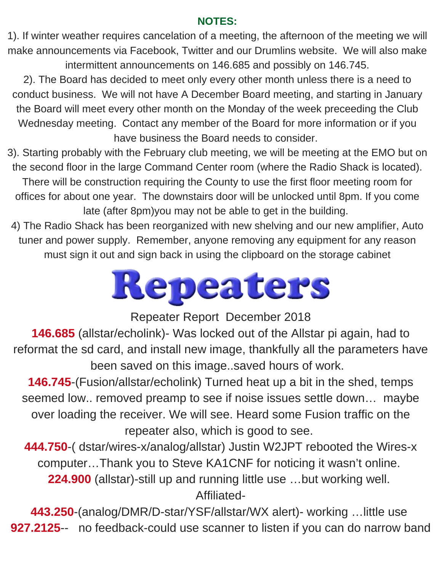### **NOTES:**

1). If winter weather requires cancelation of a meeting, the afternoon of the meeting we will make announcements via Facebook, Twitter and our Drumlins website. We will also make intermittent announcements on 146.685 and possibly on 146.745.

2). The Board has decided to meet only every other month unless there is a need to conduct business. We will not have A December Board meeting, and starting in January the Board will meet every other month on the Monday of the week preceeding the Club Wednesday meeting. Contact any member of the Board for more information or if you have business the Board needs to consider.

3). Starting probably with the February club meeting, we will be meeting at the EMO but on the second floor in the large Command Center room (where the Radio Shack is located). There will be construction requiring the County to use the first floor meeting room for offices for about one year. The downstairs door will be unlocked until 8pm. If you come late (after 8pm)you may not be able to get in the building.

4) The Radio Shack has been reorganized with new shelving and our new amplifier, Auto tuner and power supply. Remember, anyone removing any equipment for any reason must sign it out and sign back in using the clipboard on the storage cabinet



Repeater Report December 2018

**146.685** (allstar/echolink)- Was locked out of the Allstar pi again, had to reformat the sd card, and install new image, thankfully all the parameters have been saved on this image..saved hours of work.

**146.745**-(Fusion/allstar/echolink) Turned heat up a bit in the shed, temps seemed low.. removed preamp to see if noise issues settle down… maybe over loading the receiver. We will see. Heard some Fusion traffic on the repeater also, which is good to see.

**444.750**-( dstar/wires-x/analog/allstar) Justin W2JPT rebooted the Wires-x computer…Thank you to Steve KA1CNF for noticing it wasn't online. **224.900** (allstar)-still up and running little use …but working well. Affiliated-

**443.250**-(analog/DMR/D-star/YSF/allstar/WX alert)- working …little use **927.2125**-- no feedback-could use scanner to listen if you can do narrow band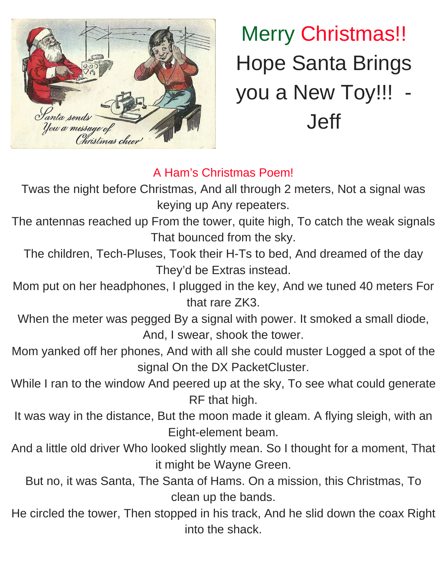

Merry Christmas!! Hope Santa Brings you a New Toy!!! Jeff

## A Ham's Christmas Poem!

Twas the night before Christmas, And all through 2 meters, Not a signal was keying up Any repeaters.

The antennas reached up From the tower, quite high, To catch the weak signals That bounced from the sky.

The children, Tech-Pluses, Took their H-Ts to bed, And dreamed of the day They'd be Extras instead.

Mom put on her headphones, I plugged in the key, And we tuned 40 meters For that rare ZK3.

When the meter was pegged By a signal with power. It smoked a small diode, And, I swear, shook the tower.

- Mom yanked off her phones, And with all she could muster Logged a spot of the signal On the DX PacketCluster.
- While I ran to the window And peered up at the sky, To see what could generate RF that high.
- It was way in the distance, But the moon made it gleam. A flying sleigh, with an Eight-element beam.
- And a little old driver Who looked slightly mean. So I thought for a moment, That it might be Wayne Green.
	- But no, it was Santa, The Santa of Hams. On a mission, this Christmas, To clean up the bands.
- He circled the tower, Then stopped in his track, And he slid down the coax Right into the shack.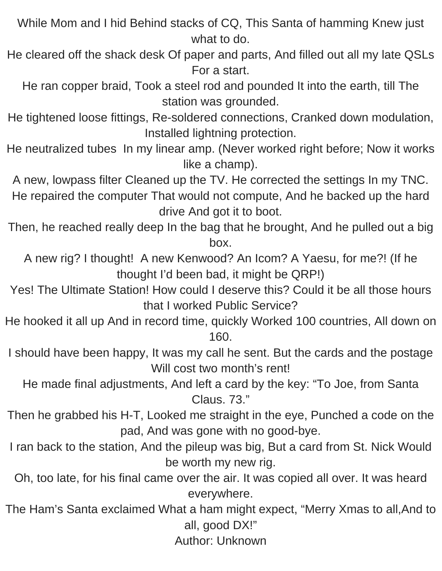While Mom and I hid Behind stacks of CQ, This Santa of hamming Knew just what to do.

He cleared off the shack desk Of paper and parts, And filled out all my late QSLs For a start.

He ran copper braid, Took a steel rod and pounded It into the earth, till The station was grounded.

He tightened loose fittings, Re-soldered connections, Cranked down modulation, Installed lightning protection.

He neutralized tubes In my linear amp. (Never worked right before; Now it works like a champ).

A new, lowpass filter Cleaned up the TV. He corrected the settings In my TNC. He repaired the computer That would not compute, And he backed up the hard drive And got it to boot.

Then, he reached really deep In the bag that he brought, And he pulled out a big box.

A new rig? I thought! A new Kenwood? An Icom? A Yaesu, for me?! (If he thought I'd been bad, it might be QRP!)

Yes! The Ultimate Station! How could I deserve this? Could it be all those hours that I worked Public Service?

He hooked it all up And in record time, quickly Worked 100 countries, All down on 160.

I should have been happy, It was my call he sent. But the cards and the postage Will cost two month's rent!

He made final adjustments, And left a card by the key: "To Joe, from Santa Claus. 73."

Then he grabbed his H-T, Looked me straight in the eye, Punched a code on the pad, And was gone with no good-bye.

I ran back to the station, And the pileup was big, But a card from St. Nick Would be worth my new rig.

Oh, too late, for his final came over the air. It was copied all over. It was heard everywhere.

The Ham's Santa exclaimed What a ham might expect, "Merry Xmas to all,And to all, good DX!"

Author: Unknown